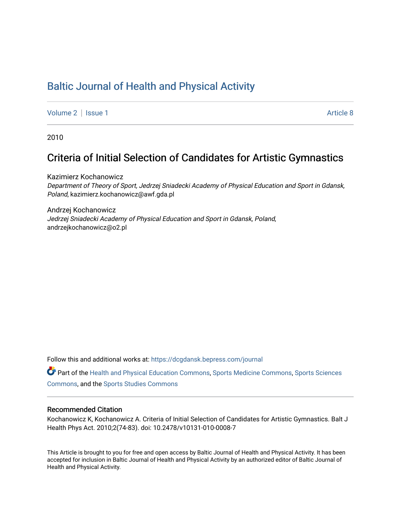# [Baltic Journal of Health and Physical Activity](https://dcgdansk.bepress.com/journal)

[Volume 2](https://dcgdansk.bepress.com/journal/vol2) | [Issue 1](https://dcgdansk.bepress.com/journal/vol2/iss1) Article 8

2010

## Criteria of Initial Selection of Candidates for Artistic Gymnastics

Kazimierz Kochanowicz Department of Theory of Sport, Jedrzej Sniadecki Academy of Physical Education and Sport in Gdansk, Poland, kazimierz.kochanowicz@awf.gda.pl

Andrzej Kochanowicz Jedrzej Sniadecki Academy of Physical Education and Sport in Gdansk, Poland, andrzejkochanowicz@o2.pl

Follow this and additional works at: [https://dcgdansk.bepress.com/journal](https://dcgdansk.bepress.com/journal?utm_source=dcgdansk.bepress.com%2Fjournal%2Fvol2%2Fiss1%2F8&utm_medium=PDF&utm_campaign=PDFCoverPages)

Part of the [Health and Physical Education Commons](http://network.bepress.com/hgg/discipline/1327?utm_source=dcgdansk.bepress.com%2Fjournal%2Fvol2%2Fiss1%2F8&utm_medium=PDF&utm_campaign=PDFCoverPages), [Sports Medicine Commons,](http://network.bepress.com/hgg/discipline/1331?utm_source=dcgdansk.bepress.com%2Fjournal%2Fvol2%2Fiss1%2F8&utm_medium=PDF&utm_campaign=PDFCoverPages) [Sports Sciences](http://network.bepress.com/hgg/discipline/759?utm_source=dcgdansk.bepress.com%2Fjournal%2Fvol2%2Fiss1%2F8&utm_medium=PDF&utm_campaign=PDFCoverPages) [Commons](http://network.bepress.com/hgg/discipline/759?utm_source=dcgdansk.bepress.com%2Fjournal%2Fvol2%2Fiss1%2F8&utm_medium=PDF&utm_campaign=PDFCoverPages), and the [Sports Studies Commons](http://network.bepress.com/hgg/discipline/1198?utm_source=dcgdansk.bepress.com%2Fjournal%2Fvol2%2Fiss1%2F8&utm_medium=PDF&utm_campaign=PDFCoverPages) 

#### Recommended Citation

Kochanowicz K, Kochanowicz A. Criteria of Initial Selection of Candidates for Artistic Gymnastics. Balt J Health Phys Act. 2010;2(74-83). doi: 10.2478/v10131-010-0008-7

This Article is brought to you for free and open access by Baltic Journal of Health and Physical Activity. It has been accepted for inclusion in Baltic Journal of Health and Physical Activity by an authorized editor of Baltic Journal of Health and Physical Activity.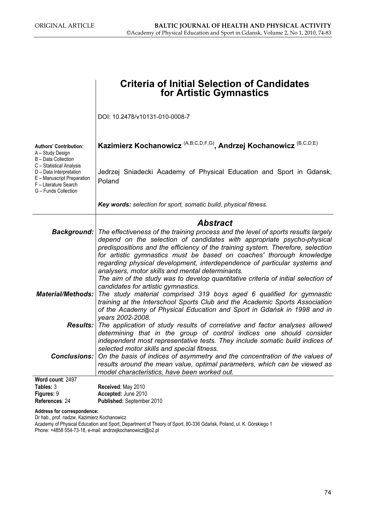|                                                                                                                                    | <b>Criteria of Initial Selection of Candidates</b><br>for Artistic Gymnastics                                                                                                                                                                                                                                                                                                                                                                                                                                                                              |  |  |  |  |  |  |  |
|------------------------------------------------------------------------------------------------------------------------------------|------------------------------------------------------------------------------------------------------------------------------------------------------------------------------------------------------------------------------------------------------------------------------------------------------------------------------------------------------------------------------------------------------------------------------------------------------------------------------------------------------------------------------------------------------------|--|--|--|--|--|--|--|
|                                                                                                                                    | DOI: 10.2478/v10131-010-0008-7                                                                                                                                                                                                                                                                                                                                                                                                                                                                                                                             |  |  |  |  |  |  |  |
| <b>Authors' Contribution:</b><br>A - Study Design<br>B - Data Collection                                                           | Kazimierz Kochanowicz <sup> (A,B,C,D,F,G)</sup> , Andrzej Kochanowicz <sup>(B,C,D,E)</sup>                                                                                                                                                                                                                                                                                                                                                                                                                                                                 |  |  |  |  |  |  |  |
| C - Statistical Analysis<br>D - Data Interpretation<br>E - Manuscript Preparation<br>F - Literature Search<br>G - Funds Collection | Jedrzej Sniadecki Academy of Physical Education and Sport in Gdansk,<br>Poland                                                                                                                                                                                                                                                                                                                                                                                                                                                                             |  |  |  |  |  |  |  |
|                                                                                                                                    | Key words: selection for sport, somatic build, physical fitness.                                                                                                                                                                                                                                                                                                                                                                                                                                                                                           |  |  |  |  |  |  |  |
|                                                                                                                                    | <b>Abstract</b>                                                                                                                                                                                                                                                                                                                                                                                                                                                                                                                                            |  |  |  |  |  |  |  |
|                                                                                                                                    | Background:   The effectiveness of the training process and the level of sports results largely<br>depend on the selection of candidates with appropriate psycho-physical<br>predispositions and the efficiency of the training system. Therefore, selection<br>for artistic gymnastics must be based on coaches' thorough knowledge<br>regarding physical development, interdependence of particular systems and<br>analysers, motor skills and mental determinants.<br>The aim of the study was to develop quantitative criteria of initial selection of |  |  |  |  |  |  |  |
| <b>Material/Methods:</b>                                                                                                           | candidates for artistic gymnastics.<br>The study material comprised 319 boys aged 6 qualified for gymnastic<br>training at the Interschool Sports Club and the Academic Sports Association<br>of the Academy of Physical Education and Sport in Gdańsk in 1998 and in<br>years 2002-2008.                                                                                                                                                                                                                                                                  |  |  |  |  |  |  |  |
| Results:                                                                                                                           | The application of study results of correlative and factor analyses allowed<br>determining that in the group of control indices one should consider<br>independent most representative tests. They include somatic build indices of<br>selected motor skills and special fitness.                                                                                                                                                                                                                                                                          |  |  |  |  |  |  |  |
| <b>Conclusions:</b>                                                                                                                | On the basis of indices of asymmetry and the concentration of the values of<br>results around the mean value, optimal parameters, which can be viewed as<br>model characteristics, have been worked out.                                                                                                                                                                                                                                                                                                                                                   |  |  |  |  |  |  |  |
| Word count: 2497<br>Tables: 3                                                                                                      | Received: May 2010                                                                                                                                                                                                                                                                                                                                                                                                                                                                                                                                         |  |  |  |  |  |  |  |
| Figures: 9<br>References: 24                                                                                                       | Accepted: June 2010<br>Published: September 2010                                                                                                                                                                                                                                                                                                                                                                                                                                                                                                           |  |  |  |  |  |  |  |

Address for correspondence:

Dr hab., prof. nadzw. Kazimierz Kochanowicz

Academy of Physical Education and Sport, Department of Theory of Sport, 80-336 Gdańsk, Poland, ul. K. Górskiego 1 Phone: +4858 554-73-18, e-mail: andrzejkochanowiczl@o2.pl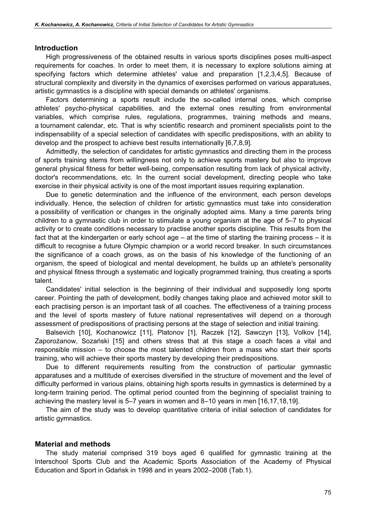### Introduction

High progressiveness of the obtained results in various sports disciplines poses multi-aspect requirements for coaches. In order to meet them, it is necessary to explore solutions aiming at specifying factors which determine athletes' value and preparation [1,2,3,4,5]. Because of structural complexity and diversity in the dynamics of exercises performed on various apparatuses, artistic gymnastics is a discipline with special demands on athletes' organisms.

Factors determining a sports result include the so-called internal ones, which comprise athletes' psycho-physical capabilities, and the external ones resulting from environmental variables, which comprise rules, regulations, programmes, training methods and means, a tournament calendar, etc. That is why scientific research and prominent specialists point to the indispensability of a special selection of candidates with specific predispositions, with an ability to develop and the prospect to achieve best results internationally [6,7,8,9].

Admittedly, the selection of candidates for artistic gymnastics and directing them in the process of sports training stems from willingness not only to achieve sports mastery but also to improve general physical fitness for better well-being, compensation resulting from lack of physical activity, doctor's recommendations, etc. In the current social development, directing people who take exercise in their physical activity is one of the most important issues requiring explanation.

Due to genetic determination and the influence of the environment, each person develops individually. Hence, the selection of children for artistic gymnastics must take into consideration a possibility of verification or changes in the originally adopted aims. Many a time parents bring children to a gymnastic club in order to stimulate a young organism at the age of 5–7 to physical activity or to create conditions necessary to practise another sports discipline. This results from the fact that at the kindergarten or early school age – at the time of starting the training process – it is difficult to recognise a future Olympic champion or a world record breaker. In such circumstances the significance of a coach grows, as on the basis of his knowledge of the functioning of an organism, the speed of biological and mental development, he builds up an athlete's personality and physical fitness through a systematic and logically programmed training, thus creating a sports talent.

Candidates' initial selection is the beginning of their individual and supposedly long sports career. Pointing the path of development, bodily changes taking place and achieved motor skill to each practising person is an important task of all coaches. The effectiveness of a training process and the level of sports mastery of future national representatives will depend on a thorough assessment of predispositions of practising persons at the stage of selection and initial training.

Balsevich [10], Kochanowicz [11], Platonov [1], Raczek [12], Sawczyn [13], Volkov [14], Zaporożanow, Sozański [15] and others stress that at this stage a coach faces a vital and responsible mission – to choose the most talented children from a mass who start their sports training, who will achieve their sports mastery by developing their predispositions.

Due to different requirements resulting from the construction of particular gymnastic apparatuses and a multitude of exercises diversified in the structure of movement and the level of difficulty performed in various plains, obtaining high sports results in gymnastics is determined by a long-term training period. The optimal period counted from the beginning of specialist training to achieving the mastery level is 5–7 years in women and 8–10 years in men [16,17,18,19].

The aim of the study was to develop quantitative criteria of initial selection of candidates for artistic gymnastics.

## Material and methods

The study material comprised 319 boys aged 6 qualified for gymnastic training at the Interschool Sports Club and the Academic Sports Association of the Academy of Physical Education and Sport in Gdańsk in 1998 and in years 2002–2008 (Tab.1).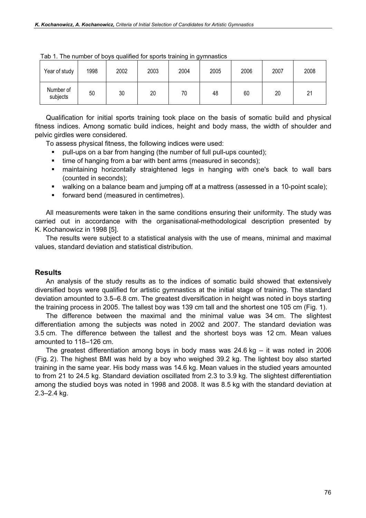| Year of study         | 1998 | 2002 | 2003 | 2004 | 2005 | 2006 | 2007 | 2008 |
|-----------------------|------|------|------|------|------|------|------|------|
| Number of<br>subjects | 50   | 30   | 20   | 70   | 48   | 60   | 20   | 21   |

Tab 1. The number of boys qualified for sports training in gymnastics

Qualification for initial sports training took place on the basis of somatic build and physical fitness indices. Among somatic build indices, height and body mass, the width of shoulder and pelvic girdles were considered.

To assess physical fitness, the following indices were used:

- pull-ups on a bar from hanging (the number of full pull-ups counted);
- time of hanging from a bar with bent arms (measured in seconds);
- maintaining horizontally straightened legs in hanging with one's back to wall bars (counted in seconds);
- walking on a balance beam and jumping off at a mattress (assessed in a 10-point scale);
- forward bend (measured in centimetres).

All measurements were taken in the same conditions ensuring their uniformity. The study was carried out in accordance with the organisational-methodological description presented by K. Kochanowicz in 1998 [5].

The results were subject to a statistical analysis with the use of means, minimal and maximal values, standard deviation and statistical distribution.

## **Results**

An analysis of the study results as to the indices of somatic build showed that extensively diversified boys were qualified for artistic gymnastics at the initial stage of training. The standard deviation amounted to 3.5–6.8 cm. The greatest diversification in height was noted in boys starting the training process in 2005. The tallest boy was 139 cm tall and the shortest one 105 cm (Fig. 1).

The difference between the maximal and the minimal value was 34 cm. The slightest differentiation among the subjects was noted in 2002 and 2007. The standard deviation was 3.5 cm. The difference between the tallest and the shortest boys was 12 cm. Mean values amounted to 118–126 cm.

The greatest differentiation among boys in body mass was  $24.6$  kg  $-$  it was noted in 2006 (Fig. 2). The highest BMI was held by a boy who weighed 39.2 kg. The lightest boy also started training in the same year. His body mass was 14.6 kg. Mean values in the studied years amounted to from 21 to 24.5 kg. Standard deviation oscillated from 2.3 to 3.9 kg. The slightest differentiation among the studied boys was noted in 1998 and 2008. It was 8.5 kg with the standard deviation at 2.3–2.4 kg.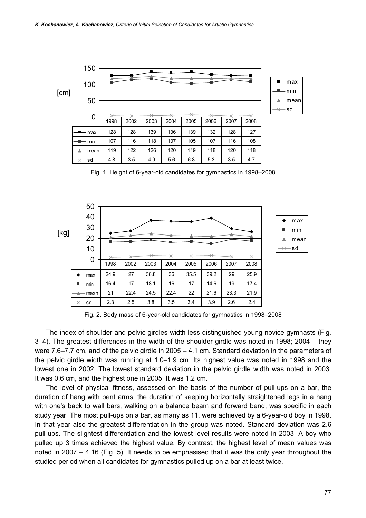

Fig. 1. Height of 6-year-old candidates for gymnastics in 1998–2008



Fig. 2. Body mass of 6-year-old candidates for gymnastics in 1998–2008

The index of shoulder and pelvic girdles width less distinguished young novice gymnasts (Fig. 3–4). The greatest differences in the width of the shoulder girdle was noted in 1998; 2004 – they were 7.6–7.7 cm, and of the pelvic girdle in 2005 – 4.1 cm. Standard deviation in the parameters of the pelvic girdle width was running at 1.0–1.9 cm. Its highest value was noted in 1998 and the lowest one in 2002. The lowest standard deviation in the pelvic girdle width was noted in 2003. It was 0.6 cm, and the highest one in 2005. It was 1.2 cm.

The level of physical fitness, assessed on the basis of the number of pull-ups on a bar, the duration of hang with bent arms, the duration of keeping horizontally straightened legs in a hang with one's back to wall bars, walking on a balance beam and forward bend, was specific in each study year. The most pull-ups on a bar, as many as 11, were achieved by a 6-year-old boy in 1998. In that year also the greatest differentiation in the group was noted. Standard deviation was 2.6 pull-ups. The slightest differentiation and the lowest level results were noted in 2003. A boy who pulled up 3 times achieved the highest value. By contrast, the highest level of mean values was noted in 2007 – 4.16 (Fig. 5). It needs to be emphasised that it was the only year throughout the studied period when all candidates for gymnastics pulled up on a bar at least twice.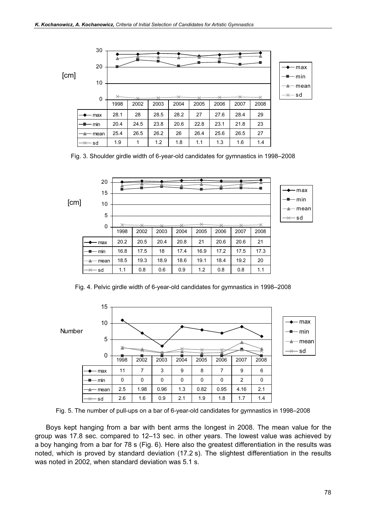

Fig. 3. Shoulder girdle width of 6-year-old candidates for gymnastics in 1998–2008



Fig. 4. Pelvic girdle width of 6-year-old candidates for gymnastics in 1998–2008



Fig. 5. The number of pull-ups on a bar of 6-year-old candidates for gymnastics in 1998–2008

Boys kept hanging from a bar with bent arms the longest in 2008. The mean value for the group was 17.8 sec. compared to 12–13 sec. in other years. The lowest value was achieved by a boy hanging from a bar for 78 s (Fig. 6). Here also the greatest differentiation in the results was noted, which is proved by standard deviation (17.2 s). The slightest differentiation in the results was noted in 2002, when standard deviation was 5.1 s.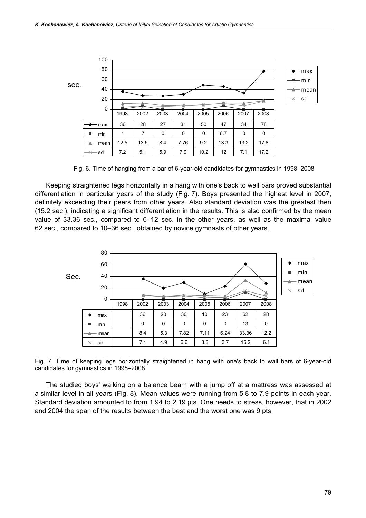

Fig. 6. Time of hanging from a bar of 6-year-old candidates for gymnastics in 1998–2008

Keeping straightened legs horizontally in a hang with one's back to wall bars proved substantial differentiation in particular years of the study (Fig. 7). Boys presented the highest level in 2007, definitely exceeding their peers from other years. Also standard deviation was the greatest then (15.2 sec.), indicating a significant differentiation in the results. This is also confirmed by the mean value of 33.36 sec., compared to 6–12 sec. in the other years, as well as the maximal value 62 sec., compared to 10–36 sec., obtained by novice gymnasts of other years.





The studied boys' walking on a balance beam with a jump off at a mattress was assessed at a similar level in all years (Fig. 8). Mean values were running from 5.8 to 7.9 points in each year. Standard deviation amounted to from 1.94 to 2.19 pts. One needs to stress, however, that in 2002 and 2004 the span of the results between the best and the worst one was 9 pts.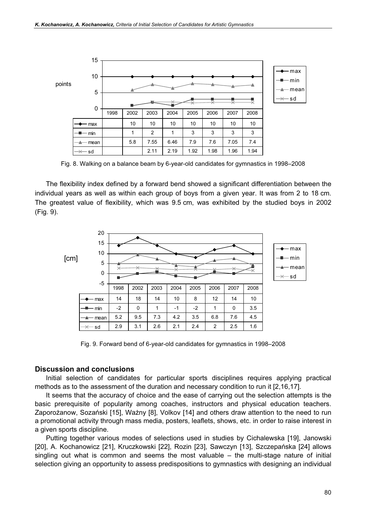

Fig. 8. Walking on a balance beam by 6-year-old candidates for gymnastics in 1998–2008

The flexibility index defined by a forward bend showed a significant differentiation between the individual years as well as within each group of boys from a given year. It was from 2 to 18 cm. The greatest value of flexibility, which was 9.5 cm, was exhibited by the studied boys in 2002 (Fig. 9).



Fig. 9. Forward bend of 6-year-old candidates for gymnastics in 1998–2008

#### Discussion and conclusions

Initial selection of candidates for particular sports disciplines requires applying practical methods as to the assessment of the duration and necessary condition to run it [2,16,17].

It seems that the accuracy of choice and the ease of carrying out the selection attempts is the basic prerequisite of popularity among coaches, instructors and physical education teachers. Zaporożanow, Sozański [15], Ważny [8], Volkov [14] and others draw attention to the need to run a promotional activity through mass media, posters, leaflets, shows, etc. in order to raise interest in a given sports discipline.

Putting together various modes of selections used in studies by Cichalewska [19], Janowski [20], A. Kochanowicz [21], Kruczkowski [22], Rozin [23], Sawczyn [13], Szczepańska [24] allows singling out what is common and seems the most valuable – the multi-stage nature of initial selection giving an opportunity to assess predispositions to gymnastics with designing an individual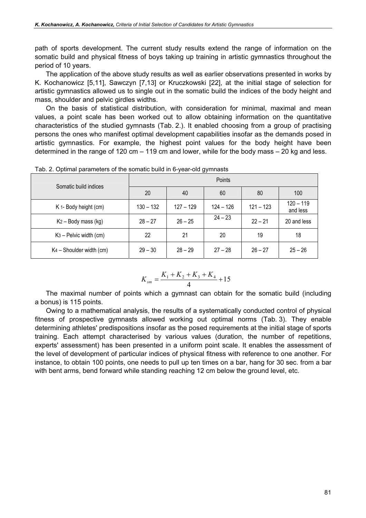path of sports development. The current study results extend the range of information on the somatic build and physical fitness of boys taking up training in artistic gymnastics throughout the period of 10 years.

The application of the above study results as well as earlier observations presented in works by K. Kochanowicz [5,11], Sawczyn [7,13] or Kruczkowski [22], at the initial stage of selection for artistic gymnastics allowed us to single out in the somatic build the indices of the body height and mass, shoulder and pelvic girdles widths.

On the basis of statistical distribution, with consideration for minimal, maximal and mean values, a point scale has been worked out to allow obtaining information on the quantitative characteristics of the studied gymnasts (Tab. 2.). It enabled choosing from a group of practising persons the ones who manifest optimal development capabilities insofar as the demands posed in artistic gymnastics. For example, the highest point values for the body height have been determined in the range of 120 cm – 119 cm and lower, while for the body mass – 20 kg and less.

| Somatic build indices                | Points      |             |             |             |                         |  |  |  |  |
|--------------------------------------|-------------|-------------|-------------|-------------|-------------------------|--|--|--|--|
|                                      | 20          | 40          | 60          | 80          | 100                     |  |  |  |  |
| K 1- Body height (cm)                | $130 - 132$ | $127 - 129$ | $124 - 126$ | $121 - 123$ | $120 - 119$<br>and less |  |  |  |  |
| $K_2$ – Body mass (kg)               | $28 - 27$   | $26 - 25$   | $24 - 23$   | $22 - 21$   | 20 and less             |  |  |  |  |
| $K3$ – Pelvic width (cm)             | 22          | 21          | 20          | 19          | 18                      |  |  |  |  |
| K <sub>4</sub> - Shoulder width (cm) | $29 - 30$   | $28 - 29$   | $27 - 28$   | $26 - 27$   | $25 - 26$               |  |  |  |  |

Tab. 2. Optimal parameters of the somatic build in 6-year-old gymnasts

$$
K_{\rm sm} = \frac{K_1 + K_2 + K_3 + K_4}{4} + 15
$$

The maximal number of points which a gymnast can obtain for the somatic build (including a bonus) is 115 points.

Owing to a mathematical analysis, the results of a systematically conducted control of physical fitness of prospective gymnasts allowed working out optimal norms (Tab. 3). They enable determining athletes' predispositions insofar as the posed requirements at the initial stage of sports training. Each attempt characterised by various values (duration, the number of repetitions, experts' assessment) has been presented in a uniform point scale. It enables the assessment of the level of development of particular indices of physical fitness with reference to one another. For instance, to obtain 100 points, one needs to pull up ten times on a bar, hang for 30 sec. from a bar with bent arms, bend forward while standing reaching 12 cm below the ground level, etc.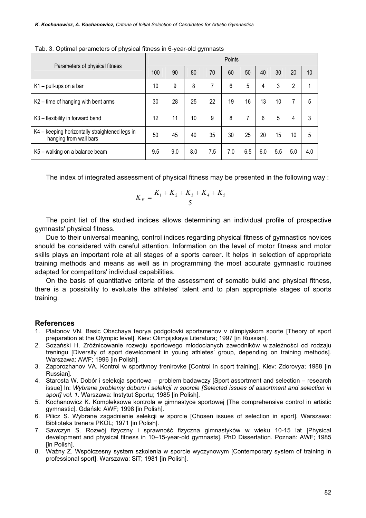| Parameters of physical fitness                                           |     | Points |     |     |     |     |     |     |                |     |
|--------------------------------------------------------------------------|-----|--------|-----|-----|-----|-----|-----|-----|----------------|-----|
|                                                                          |     | 90     | 80  | 70  | 60  | 50  | 40  | 30  | 20             | 10  |
| $K1$ – pull-ups on a bar                                                 | 10  | 9      | 8   | 7   | 6   | 5   | 4   | 3   | $\overline{2}$ |     |
| K2 – time of hanging with bent arms                                      | 30  | 28     | 25  | 22  | 19  | 16  | 13  | 10  | 7              | 5   |
| K3 – flexibility in forward bend                                         | 12  | 11     | 10  | 9   | 8   | 7   | 6   | 5   | 4              | 3   |
| K4 - keeping horizontally straightened legs in<br>hanging from wall bars | 50  | 45     | 40  | 35  | 30  | 25  | 20  | 15  | 10             | 5   |
| K5 - walking on a balance beam                                           | 9.5 | 9.0    | 8.0 | 7.5 | 7.0 | 6.5 | 6.0 | 5.5 | 5.0            | 4.0 |

Tab. 3. Optimal parameters of physical fitness in 6-year-old gymnasts

The index of integrated assessment of physical fitness may be presented in the following way :

$$
K_F = \frac{K_1 + K_2 + K_3 + K_4 + K_5}{5}
$$

The point list of the studied indices allows determining an individual profile of prospective gymnasts' physical fitness.

Due to their universal meaning, control indices regarding physical fitness of gymnastics novices should be considered with careful attention. Information on the level of motor fitness and motor skills plays an important role at all stages of a sports career. It helps in selection of appropriate training methods and means as well as in programming the most accurate gymnastic routines adapted for competitors' individual capabilities.

On the basis of quantitative criteria of the assessment of somatic build and physical fitness, there is a possibility to evaluate the athletes' talent and to plan appropriate stages of sports training.

#### References

- 1. Platonov VN. Basic Obschaya teorya podgotovki sportsmenov v olimpiyskom sporte [Theory of sport preparation at the Olympic level]. Kiev: Olimpijskaya Literatura; 1997 [in Russian].
- 2. Sozański H. Zróżnicowanie rozwoju sportowego młodocianych zawodników w zależności od rodzaju treningu [Diversity of sport development in young athletes' group, depending on training methods]. Warszawa: AWF; 1996 [in Polish].
- 3. Zaporozhanov VA. Kontrol w sportivnoy trenirovke [Control in sport training]. Kiev: Zdorovya; 1988 [in Russian].
- 4. Starosta W. Dobór i selekcja sportowa problem badawczy [Sport assortment and selection research issue] In: Wybrane problemy doboru i selekcji w sporcie [Selected issues of assortment and selection in sport] vol. 1. Warszawa: Instytut Sportu; 1985 [in Polish].
- 5. Kochanowicz K. Kompleksowa kontrola w gimnastyce sportowej [The comprehensive control in artistic gymnastic]. Gdańsk: AWF; 1998 [in Polish].
- 6. Pilicz S. Wybrane zagadnienie selekcji w sporcie [Chosen issues of selection in sport]. Warszawa: Biblioteka trenera PKOL; 1971 [in Polish].
- 7. Sawczyn S. Rozwój fizyczny i sprawność fizyczna gimnastyków w wieku 10-15 lat [Physical development and physical fitness in 10–15-year-old gymnasts]. PhD Dissertation. Poznań: AWF; 1985 [in Polish].
- 8. Ważny Z. Współczesny system szkolenia w sporcie wyczynowym [Contemporary system of training in professional sport]. Warszawa: SiT; 1981 [in Polish].